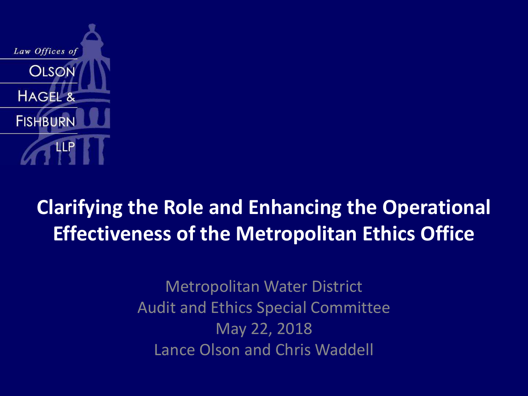

#### **Clarifying the Role and Enhancing the Operational Effectiveness of the Metropolitan Ethics Office**

Metropolitan Water District Audit and Ethics Special Committee May 22, 2018 Lance Olson and Chris Waddell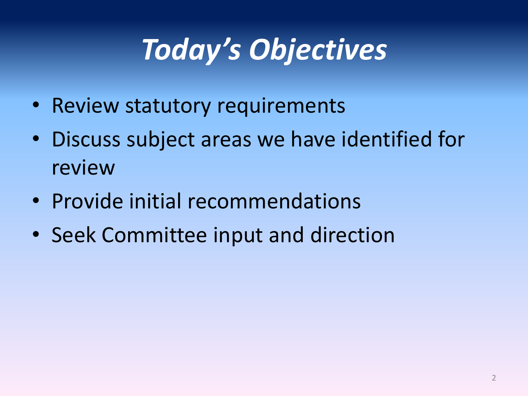## *Today's Objectives*

- Review statutory requirements
- Discuss subject areas we have identified for review
- Provide initial recommendations
- Seek Committee input and direction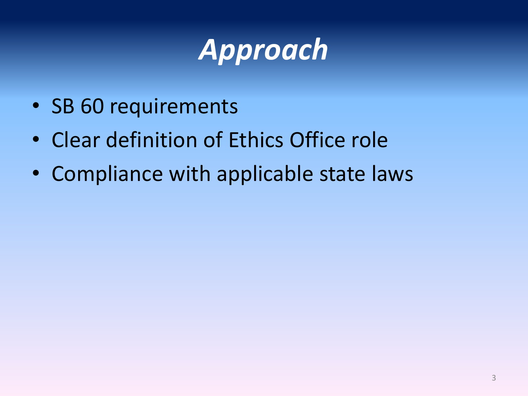## *Approach*

- SB 60 requirements
- Clear definition of Ethics Office role
- Compliance with applicable state laws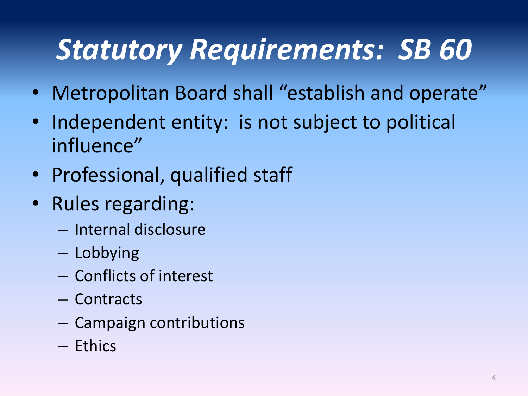## *Statutory Requirements: SB 60*

- Metropolitan Board shall "establish and operate"
- Independent entity: is not subject to political influence"
- Professional, qualified staff
- Rules regarding:
	- Internal disclosure
	- Lobbying
	- Conflicts of interest
	- Contracts
	- Campaign contributions
	- Ethics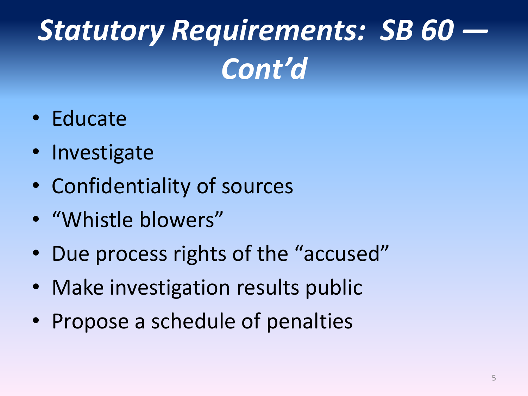# *Statutory Requirements: SB 60 — Cont'd*

- Educate
- Investigate
- Confidentiality of sources
- "Whistle blowers"
- Due process rights of the "accused"
- Make investigation results public
- Propose a schedule of penalties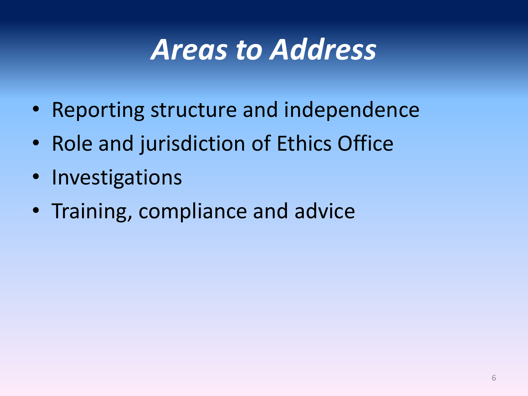#### *Areas to Address*

- Reporting structure and independence
- Role and jurisdiction of Ethics Office
- Investigations
- Training, compliance and advice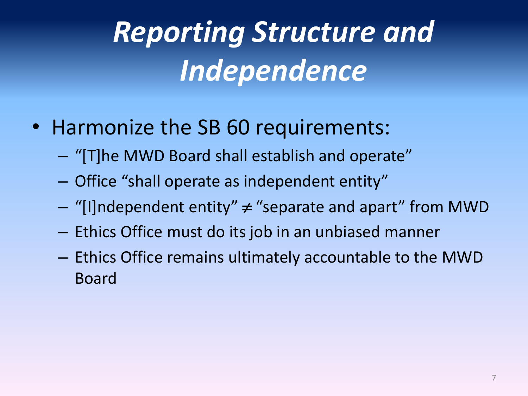# *Reporting Structure and Independence*

- Harmonize the SB 60 requirements:
	- "[T]he MWD Board shall establish and operate"
	- Office "shall operate as independent entity"
	- $-$  "[I]ndependent entity"  $\neq$  "separate and apart" from MWD
	- Ethics Office must do its job in an unbiased manner
	- Ethics Office remains ultimately accountable to the MWD Board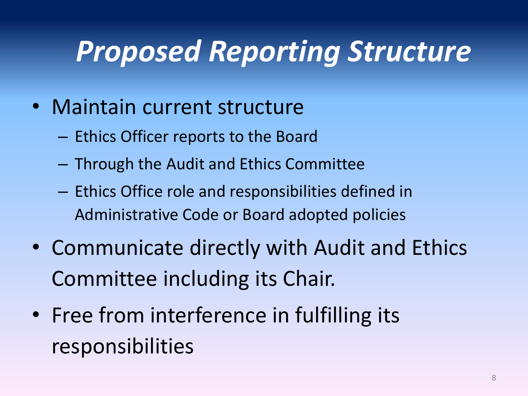#### *Proposed Reporting Structure*

- Maintain current structure
	- Ethics Officer reports to the Board
	- Through the Audit and Ethics Committee
	- Ethics Office role and responsibilities defined in Administrative Code or Board adopted policies
- Communicate directly with Audit and Ethics Committee including its Chair.
- Free from interference in fulfilling its responsibilities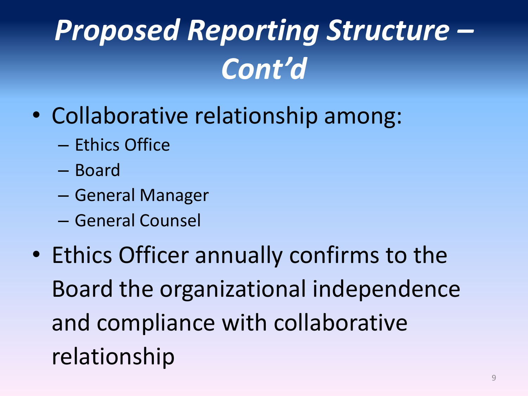# *Proposed Reporting Structure – Cont'd*

- Collaborative relationship among:
	- Ethics Office
	- Board
	- General Manager
	- General Counsel
- Ethics Officer annually confirms to the Board the organizational independence and compliance with collaborative relationship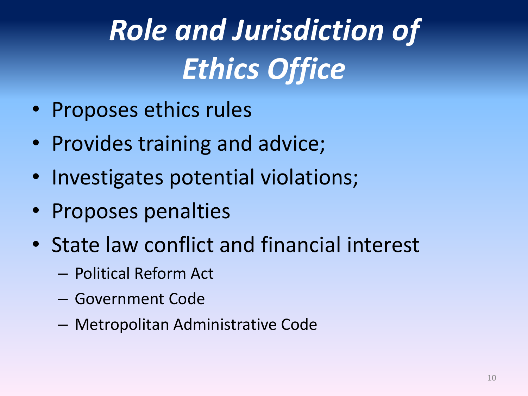# *Role and Jurisdiction of Ethics Office*

- Proposes ethics rules
- Provides training and advice;
- Investigates potential violations;
- Proposes penalties
- State law conflict and financial interest
	- Political Reform Act
	- Government Code
	- Metropolitan Administrative Code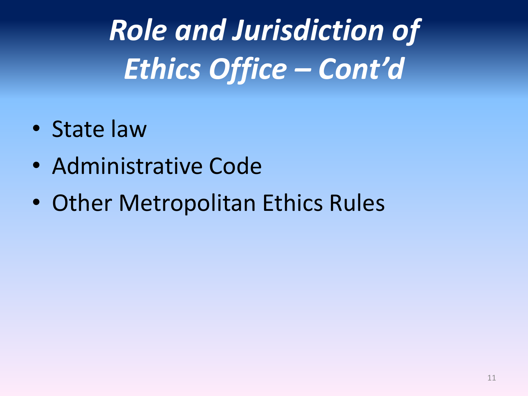- State law
- Administrative Code
- Other Metropolitan Ethics Rules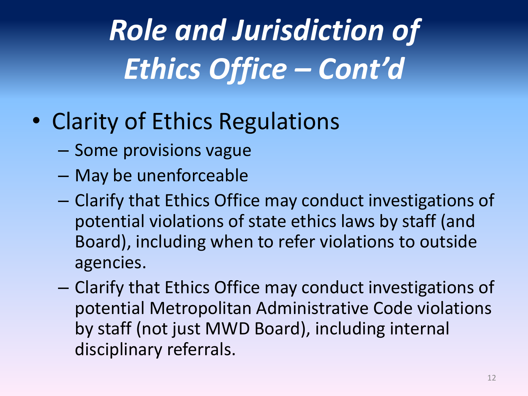- Clarity of Ethics Regulations
	- Some provisions vague
	- May be unenforceable
	- Clarify that Ethics Office may conduct investigations of potential violations of state ethics laws by staff (and Board), including when to refer violations to outside agencies.
	- Clarify that Ethics Office may conduct investigations of potential Metropolitan Administrative Code violations by staff (not just MWD Board), including internal disciplinary referrals.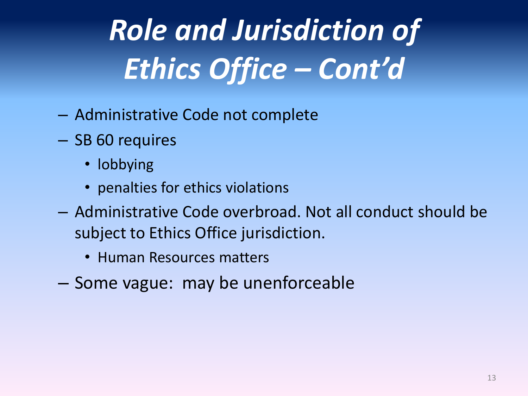- Administrative Code not complete
- SB 60 requires
	- lobbying
	- penalties for ethics violations
- Administrative Code overbroad. Not all conduct should be subject to Ethics Office jurisdiction.
	- Human Resources matters
- Some vague: may be unenforceable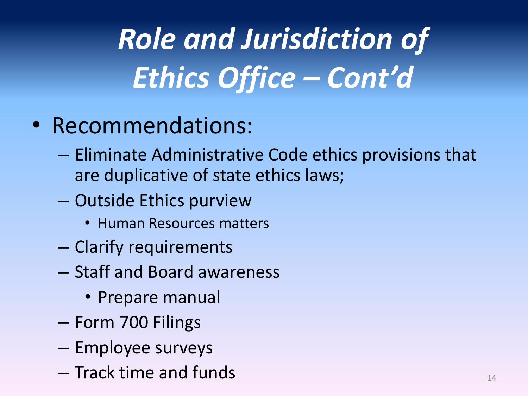- Recommendations:
	- Eliminate Administrative Code ethics provisions that are duplicative of state ethics laws;
	- Outside Ethics purview
		- Human Resources matters
	- Clarify requirements
	- Staff and Board awareness
		- Prepare manual
	- Form 700 Filings
	- Employee surveys
	- Track time and funds <sup>14</sup>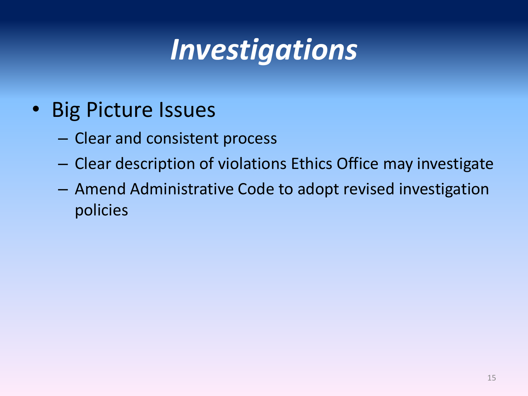## *Investigations*

- Big Picture Issues
	- Clear and consistent process
	- Clear description of violations Ethics Office may investigate
	- Amend Administrative Code to adopt revised investigation policies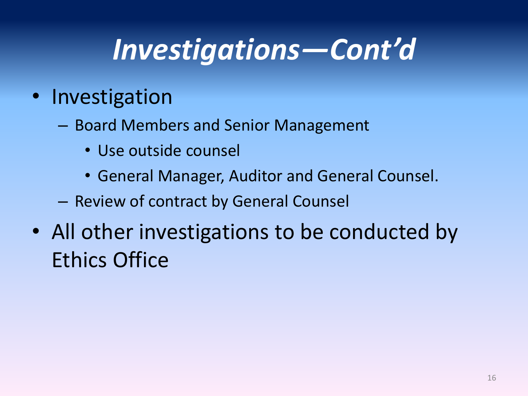#### *Investigations—Cont'd*

#### • Investigation

- Board Members and Senior Management
	- Use outside counsel
	- General Manager, Auditor and General Counsel.
- Review of contract by General Counsel
- All other investigations to be conducted by Ethics Office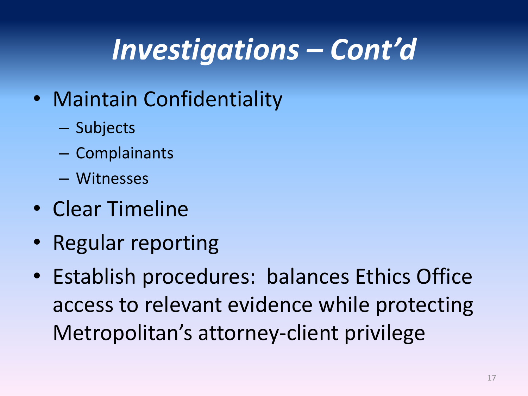### *Investigations – Cont'd*

- Maintain Confidentiality
	- Subjects
	- Complainants
	- Witnesses
- Clear Timeline
- Regular reporting
- Establish procedures: balances Ethics Office access to relevant evidence while protecting Metropolitan's attorney-client privilege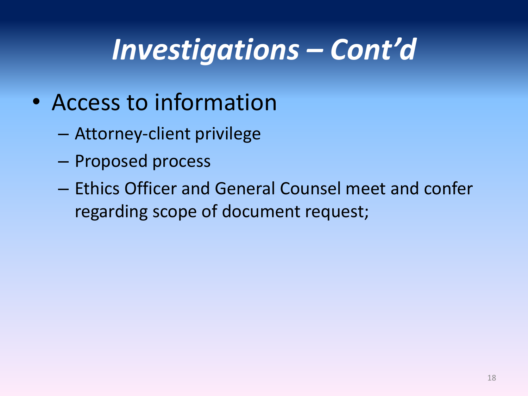#### *Investigations – Cont'd*

- Access to information
	- Attorney-client privilege
	- Proposed process
	- Ethics Officer and General Counsel meet and confer regarding scope of document request;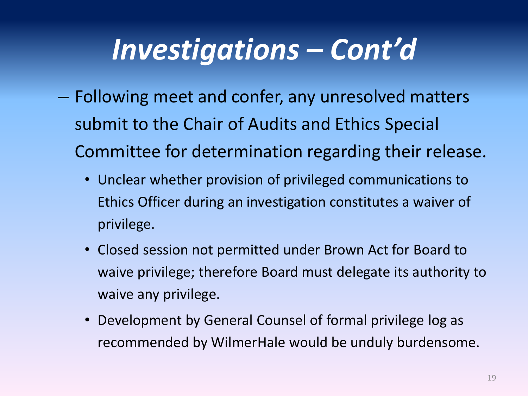#### *Investigations – Cont'd*

- Following meet and confer, any unresolved matters submit to the Chair of Audits and Ethics Special Committee for determination regarding their release.
	- Unclear whether provision of privileged communications to Ethics Officer during an investigation constitutes a waiver of privilege.
	- Closed session not permitted under Brown Act for Board to waive privilege; therefore Board must delegate its authority to waive any privilege.
	- Development by General Counsel of formal privilege log as recommended by WilmerHale would be unduly burdensome.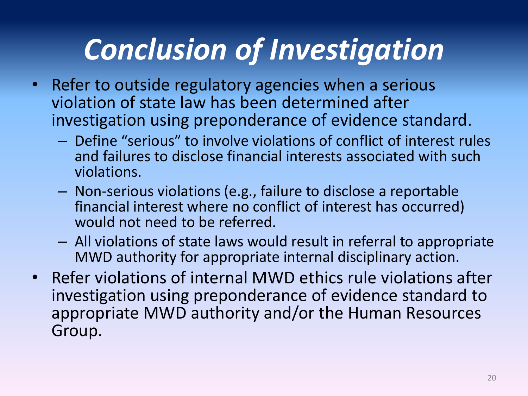## *Conclusion of Investigation*

- Refer to outside regulatory agencies when a serious violation of state law has been determined after investigation using preponderance of evidence standard.
	- Define "serious" to involve violations of conflict of interest rules and failures to disclose financial interests associated with such violations.
	- Non-serious violations (e.g., failure to disclose a reportable financial interest where no conflict of interest has occurred) would not need to be referred.
	- All violations of state laws would result in referral to appropriate MWD authority for appropriate internal disciplinary action.
- Refer violations of internal MWD ethics rule violations after investigation using preponderance of evidence standard to appropriate MWD authority and/or the Human Resources Group.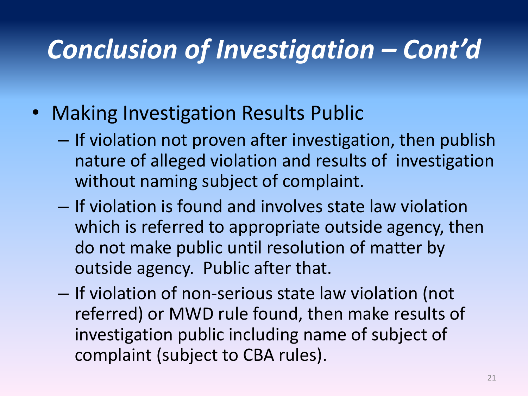#### *Conclusion of Investigation – Cont'd*

- Making Investigation Results Public
	- If violation not proven after investigation, then publish nature of alleged violation and results of investigation without naming subject of complaint.
	- If violation is found and involves state law violation which is referred to appropriate outside agency, then do not make public until resolution of matter by outside agency. Public after that.
	- If violation of non-serious state law violation (not referred) or MWD rule found, then make results of investigation public including name of subject of complaint (subject to CBA rules).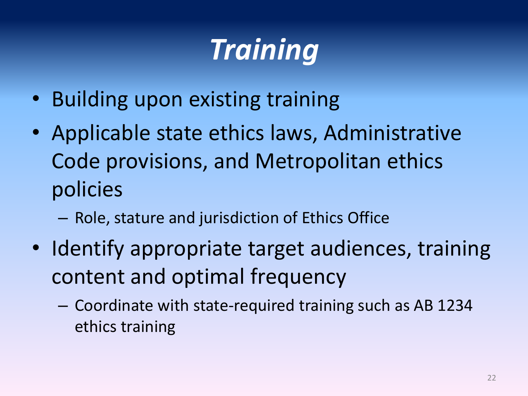## *Training*

- Building upon existing training
- Applicable state ethics laws, Administrative Code provisions, and Metropolitan ethics policies
	- Role, stature and jurisdiction of Ethics Office
- Identify appropriate target audiences, training content and optimal frequency
	- Coordinate with state-required training such as AB 1234 ethics training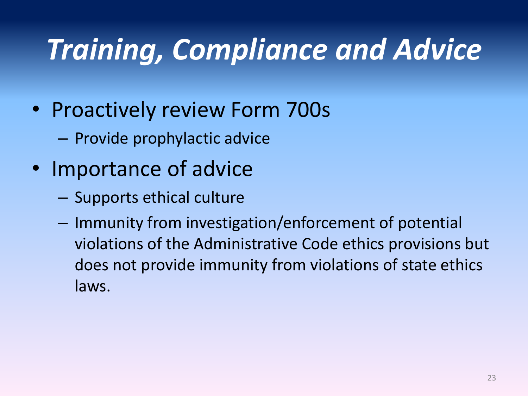## *Training, Compliance and Advice*

- Proactively review Form 700s
	- Provide prophylactic advice
- Importance of advice
	- Supports ethical culture
	- Immunity from investigation/enforcement of potential violations of the Administrative Code ethics provisions but does not provide immunity from violations of state ethics laws.